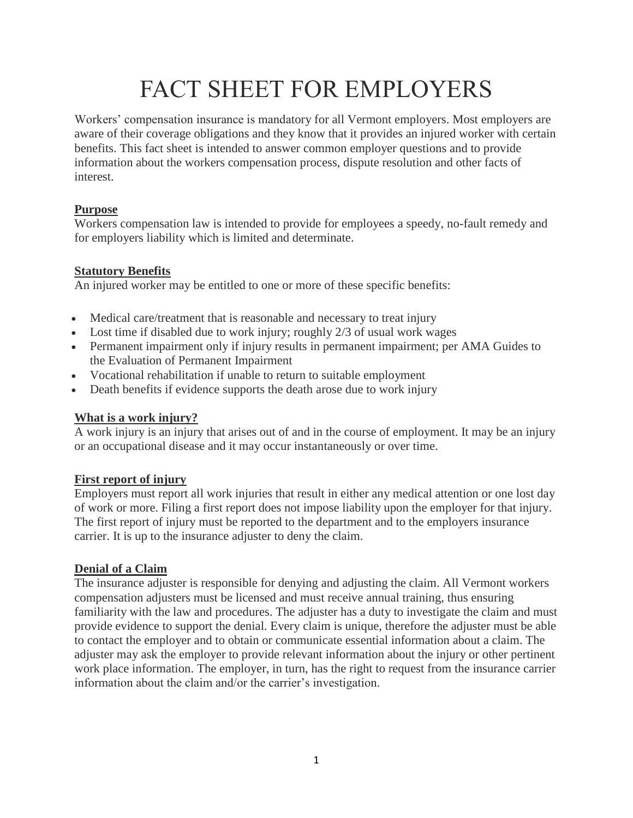# FACT SHEET FOR EMPLOYERS

Workers' compensation insurance is mandatory for all Vermont employers. Most employers are aware of their coverage obligations and they know that it provides an injured worker with certain benefits. This fact sheet is intended to answer common employer questions and to provide information about the workers compensation process, dispute resolution and other facts of interest.

# **Purpose**

Workers compensation law is intended to provide for employees a speedy, no-fault remedy and for employers liability which is limited and determinate.

## **Statutory Benefits**

An injured worker may be entitled to one or more of these specific benefits:

- Medical care/treatment that is reasonable and necessary to treat injury
- Lost time if disabled due to work injury; roughly 2/3 of usual work wages
- Permanent impairment only if injury results in permanent impairment; per AMA Guides to the Evaluation of Permanent Impairment
- Vocational rehabilitation if unable to return to suitable employment
- Death benefits if evidence supports the death arose due to work injury

## **What is a work injury?**

A work injury is an injury that arises out of and in the course of employment. It may be an injury or an occupational disease and it may occur instantaneously or over time.

# **First report of injury**

Employers must report all work injuries that result in either any medical attention or one lost day of work or more. Filing a first report does not impose liability upon the employer for that injury. The first report of injury must be reported to the department and to the employers insurance carrier. It is up to the insurance adjuster to deny the claim.

## **Denial of a Claim**

The insurance adjuster is responsible for denying and adjusting the claim. All Vermont workers compensation adjusters must be licensed and must receive annual training, thus ensuring familiarity with the law and procedures. The adjuster has a duty to investigate the claim and must provide evidence to support the denial. Every claim is unique, therefore the adjuster must be able to contact the employer and to obtain or communicate essential information about a claim. The adjuster may ask the employer to provide relevant information about the injury or other pertinent work place information. The employer, in turn, has the right to request from the insurance carrier information about the claim and/or the carrier's investigation.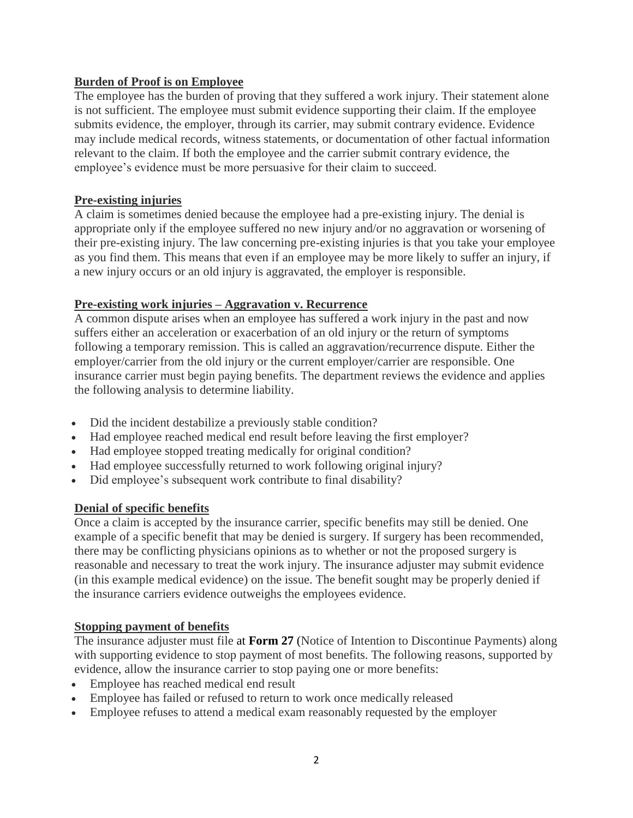## **Burden of Proof is on Employee**

The employee has the burden of proving that they suffered a work injury. Their statement alone is not sufficient. The employee must submit evidence supporting their claim. If the employee submits evidence, the employer, through its carrier, may submit contrary evidence. Evidence may include medical records, witness statements, or documentation of other factual information relevant to the claim. If both the employee and the carrier submit contrary evidence, the employee's evidence must be more persuasive for their claim to succeed.

## **Pre-existing injuries**

A claim is sometimes denied because the employee had a pre-existing injury. The denial is appropriate only if the employee suffered no new injury and/or no aggravation or worsening of their pre-existing injury. The law concerning pre-existing injuries is that you take your employee as you find them. This means that even if an employee may be more likely to suffer an injury, if a new injury occurs or an old injury is aggravated, the employer is responsible.

## **Pre-existing work injuries – Aggravation v. Recurrence**

A common dispute arises when an employee has suffered a work injury in the past and now suffers either an acceleration or exacerbation of an old injury or the return of symptoms following a temporary remission. This is called an aggravation/recurrence dispute. Either the employer/carrier from the old injury or the current employer/carrier are responsible. One insurance carrier must begin paying benefits. The department reviews the evidence and applies the following analysis to determine liability.

- Did the incident destabilize a previously stable condition?
- Had employee reached medical end result before leaving the first employer?
- Had employee stopped treating medically for original condition?
- Had employee successfully returned to work following original injury?
- Did employee's subsequent work contribute to final disability?

## **Denial of specific benefits**

Once a claim is accepted by the insurance carrier, specific benefits may still be denied. One example of a specific benefit that may be denied is surgery. If surgery has been recommended, there may be conflicting physicians opinions as to whether or not the proposed surgery is reasonable and necessary to treat the work injury. The insurance adjuster may submit evidence (in this example medical evidence) on the issue. The benefit sought may be properly denied if the insurance carriers evidence outweighs the employees evidence.

#### **Stopping payment of benefits**

The insurance adjuster must file at **Form 27** (Notice of Intention to Discontinue Payments) along with supporting evidence to stop payment of most benefits. The following reasons, supported by evidence, allow the insurance carrier to stop paying one or more benefits:

- Employee has reached medical end result
- Employee has failed or refused to return to work once medically released
- Employee refuses to attend a medical exam reasonably requested by the employer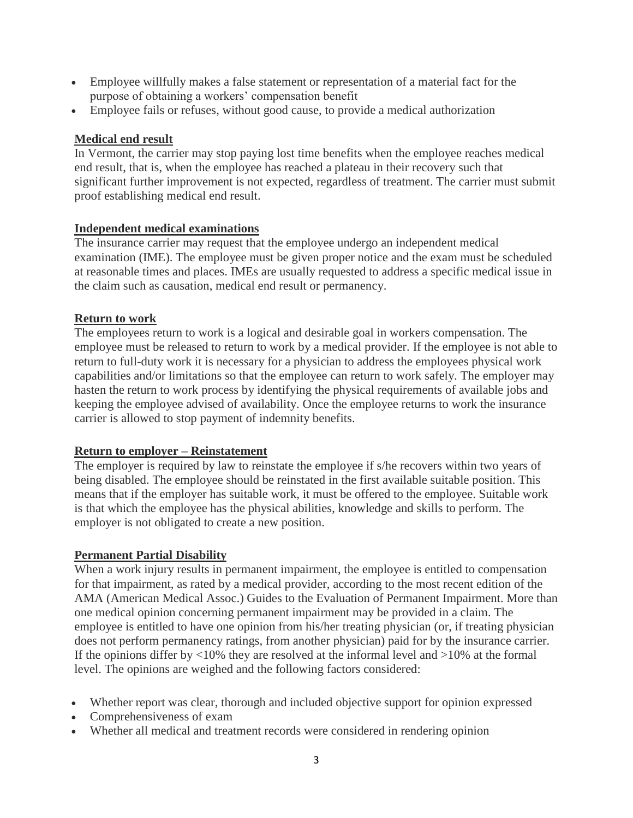- Employee willfully makes a false statement or representation of a material fact for the purpose of obtaining a workers' compensation benefit
- Employee fails or refuses, without good cause, to provide a medical authorization

## **Medical end result**

In Vermont, the carrier may stop paying lost time benefits when the employee reaches medical end result, that is, when the employee has reached a plateau in their recovery such that significant further improvement is not expected, regardless of treatment. The carrier must submit proof establishing medical end result.

## **Independent medical examinations**

The insurance carrier may request that the employee undergo an independent medical examination (IME). The employee must be given proper notice and the exam must be scheduled at reasonable times and places. IMEs are usually requested to address a specific medical issue in the claim such as causation, medical end result or permanency.

## **Return to work**

The employees return to work is a logical and desirable goal in workers compensation. The employee must be released to return to work by a medical provider. If the employee is not able to return to full-duty work it is necessary for a physician to address the employees physical work capabilities and/or limitations so that the employee can return to work safely. The employer may hasten the return to work process by identifying the physical requirements of available jobs and keeping the employee advised of availability. Once the employee returns to work the insurance carrier is allowed to stop payment of indemnity benefits.

## **Return to employer – Reinstatement**

The employer is required by law to reinstate the employee if s/he recovers within two years of being disabled. The employee should be reinstated in the first available suitable position. This means that if the employer has suitable work, it must be offered to the employee. Suitable work is that which the employee has the physical abilities, knowledge and skills to perform. The employer is not obligated to create a new position.

#### **Permanent Partial Disability**

When a work injury results in permanent impairment, the employee is entitled to compensation for that impairment, as rated by a medical provider, according to the most recent edition of the AMA (American Medical Assoc.) Guides to the Evaluation of Permanent Impairment. More than one medical opinion concerning permanent impairment may be provided in a claim. The employee is entitled to have one opinion from his/her treating physician (or, if treating physician does not perform permanency ratings, from another physician) paid for by the insurance carrier. If the opinions differ by  $\langle 10\%$  they are resolved at the informal level and  $>10\%$  at the formal level. The opinions are weighed and the following factors considered:

- Whether report was clear, thorough and included objective support for opinion expressed
- Comprehensiveness of exam
- Whether all medical and treatment records were considered in rendering opinion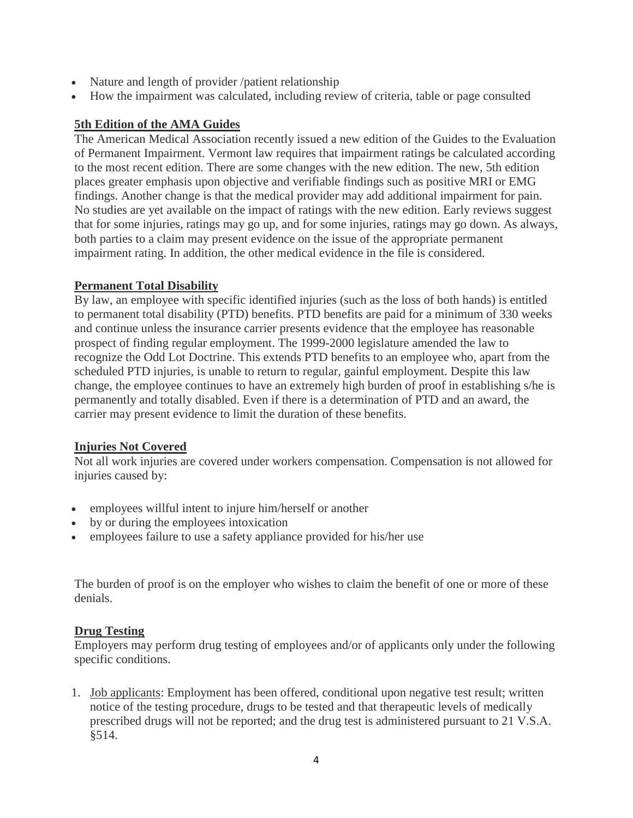- Nature and length of provider /patient relationship
- How the impairment was calculated, including review of criteria, table or page consulted

## **5th Edition of the AMA Guides**

The American Medical Association recently issued a new edition of the Guides to the Evaluation of Permanent Impairment. Vermont law requires that impairment ratings be calculated according to the most recent edition. There are some changes with the new edition. The new, 5th edition places greater emphasis upon objective and verifiable findings such as positive MRI or EMG findings. Another change is that the medical provider may add additional impairment for pain. No studies are yet available on the impact of ratings with the new edition. Early reviews suggest that for some injuries, ratings may go up, and for some injuries, ratings may go down. As always, both parties to a claim may present evidence on the issue of the appropriate permanent impairment rating. In addition, the other medical evidence in the file is considered.

## **Permanent Total Disability**

By law, an employee with specific identified injuries (such as the loss of both hands) is entitled to permanent total disability (PTD) benefits. PTD benefits are paid for a minimum of 330 weeks and continue unless the insurance carrier presents evidence that the employee has reasonable prospect of finding regular employment. The 1999-2000 legislature amended the law to recognize the Odd Lot Doctrine. This extends PTD benefits to an employee who, apart from the scheduled PTD injuries, is unable to return to regular, gainful employment. Despite this law change, the employee continues to have an extremely high burden of proof in establishing s/he is permanently and totally disabled. Even if there is a determination of PTD and an award, the carrier may present evidence to limit the duration of these benefits.

## **Injuries Not Covered**

Not all work injuries are covered under workers compensation. Compensation is not allowed for injuries caused by:

- employees willful intent to injure him/herself or another
- by or during the employees intoxication
- employees failure to use a safety appliance provided for his/her use

The burden of proof is on the employer who wishes to claim the benefit of one or more of these denials.

#### **Drug Testing**

Employers may perform drug testing of employees and/or of applicants only under the following specific conditions.

1. Job applicants: Employment has been offered, conditional upon negative test result; written notice of the testing procedure, drugs to be tested and that therapeutic levels of medically prescribed drugs will not be reported; and the drug test is administered pursuant to 21 V.S.A. §514.